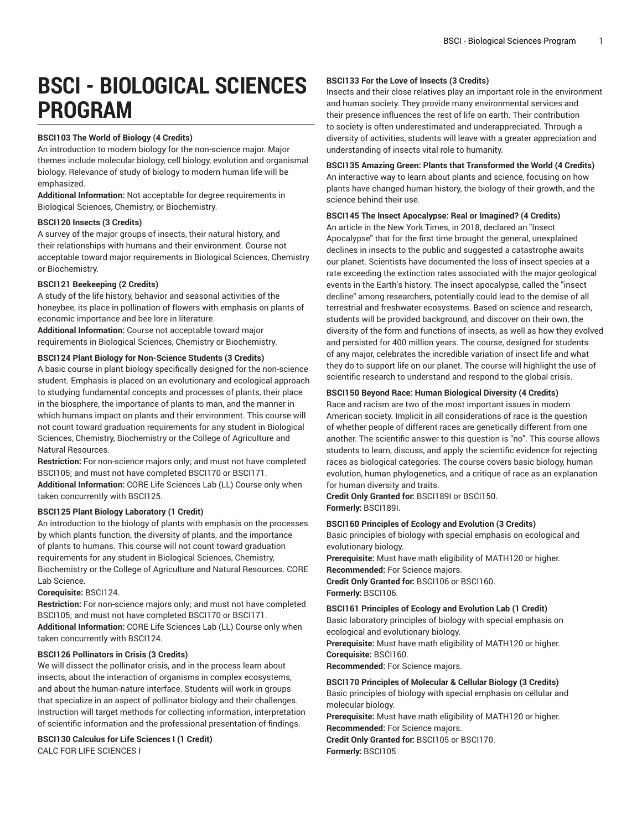# **BSCI - BIOLOGICAL SCIENCES PROGRAM**

# **BSCI103 The World of Biology (4 Credits)**

An introduction to modern biology for the non-science major. Major themes include molecular biology, cell biology, evolution and organismal biology. Relevance of study of biology to modern human life will be emphasized.

**Additional Information:** Not acceptable for degree requirements in Biological Sciences, Chemistry, or Biochemistry.

#### **BSCI120 Insects (3 Credits)**

A survey of the major groups of insects, their natural history, and their relationships with humans and their environment. Course not acceptable toward major requirements in Biological Sciences, Chemistry or Biochemistry.

# **BSCI121 Beekeeping (2 Credits)**

A study of the life history, behavior and seasonal activities of the honeybee, its place in pollination of flowers with emphasis on plants of economic importance and bee lore in literature.

**Additional Information:** Course not acceptable toward major requirements in Biological Sciences, Chemistry or Biochemistry.

# **BSCI124 Plant Biology for Non-Science Students (3 Credits)**

A basic course in plant biology specifically designed for the non-science student. Emphasis is placed on an evolutionary and ecological approach to studying fundamental concepts and processes of plants, their place in the biosphere, the importance of plants to man, and the manner in which humans impact on plants and their environment. This course will not count toward graduation requirements for any student in Biological Sciences, Chemistry, Biochemistry or the College of Agriculture and Natural Resources.

**Restriction:** For non-science majors only; and must not have completed BSCI105; and must not have completed BSCI170 or BSCI171. **Additional Information:** CORE Life Sciences Lab (LL) Course only when taken concurrently with BSCI125.

#### **BSCI125 Plant Biology Laboratory (1 Credit)**

An introduction to the biology of plants with emphasis on the processes by which plants function, the diversity of plants, and the importance of plants to humans. This course will not count toward graduation requirements for any student in Biological Sciences, Chemistry, Biochemistry or the College of Agriculture and Natural Resources. CORE Lab Science.

#### **Corequisite:** BSCI124.

**Restriction:** For non-science majors only; and must not have completed BSCI105; and must not have completed BSCI170 or BSCI171. **Additional Information:** CORE Life Sciences Lab (LL) Course only when taken concurrently with BSCI124.

#### **BSCI126 Pollinators in Crisis (3 Credits)**

We will dissect the pollinator crisis, and in the process learn about insects, about the interaction of organisms in complex ecosystems, and about the human-nature interface. Students will work in groups that specialize in an aspect of pollinator biology and their challenges. Instruction will target methods for collecting information, interpretation of scientific information and the professional presentation of findings.

#### **BSCI130 Calculus for Life Sciences I (1 Credit)** CALC FOR LIFE SCIENCES I

#### **BSCI133 For the Love of Insects (3 Credits)**

Insects and their close relatives play an important role in the environment and human society. They provide many environmental services and their presence influences the rest of life on earth. Their contribution to society is often underestimated and underappreciated. Through a diversity of activities, students will leave with a greater appreciation and understanding of insects vital role to humanity.

#### **BSCI135 Amazing Green: Plants that Transformed the World (4 Credits)**

An interactive way to learn about plants and science, focusing on how plants have changed human history, the biology of their growth, and the science behind their use.

#### **BSCI145 The Insect Apocalypse: Real or Imagined? (4 Credits)**

An article in the New York Times, in 2018, declared an "Insect Apocalypse" that for the first time brought the general, unexplained declines in insects to the public and suggested a catastrophe awaits our planet. Scientists have documented the loss of insect species at a rate exceeding the extinction rates associated with the major geological events in the Earth's history. The insect apocalypse, called the "insect decline" among researchers, potentially could lead to the demise of all terrestrial and freshwater ecosystems. Based on science and research, students will be provided background, and discover on their own, the diversity of the form and functions of insects, as well as how they evolved and persisted for 400 million years. The course, designed for students of any major, celebrates the incredible variation of insect life and what they do to support life on our planet. The course will highlight the use of scientific research to understand and respond to the global crisis.

# **BSCI150 Beyond Race: Human Biological Diversity (4 Credits)**

Race and racism are two of the most important issues in modern American society. Implicit in all considerations of race is the question of whether people of different races are genetically different from one another. The scientific answer to this question is "no". This course allows students to learn, discuss, and apply the scientific evidence for rejecting races as biological categories. The course covers basic biology, human evolution, human phylogenetics, and a critique of race as an explanation for human diversity and traits.

**Credit Only Granted for:** BSCI189I or BSCI150. **Formerly:** BSCI189I.

#### **BSCI160 Principles of Ecology and Evolution (3 Credits)**

Basic principles of biology with special emphasis on ecological and evolutionary biology.

**Prerequisite:** Must have math eligibility of MATH120 or higher. **Recommended:** For Science majors.

**Credit Only Granted for:** BSCI106 or BSCI160.

**Formerly:** BSCI106.

**BSCI161 Principles of Ecology and Evolution Lab (1 Credit)** Basic laboratory principles of biology with special emphasis on

ecological and evolutionary biology. **Prerequisite:** Must have math eligibility of MATH120 or higher. **Corequisite:** BSCI160.

**Recommended:** For Science majors.

# **BSCI170 Principles of Molecular & Cellular Biology (3 Credits)**

Basic principles of biology with special emphasis on cellular and molecular biology.

**Prerequisite:** Must have math eligibility of MATH120 or higher. **Recommended:** For Science majors.

**Credit Only Granted for:** BSCI105 or BSCI170. **Formerly:** BSCI105.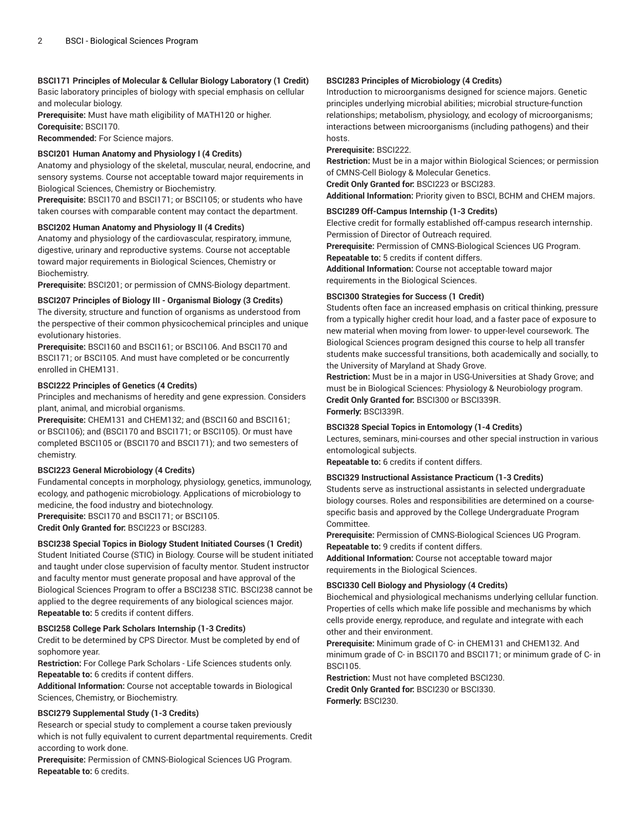# **BSCI171 Principles of Molecular & Cellular Biology Laboratory (1 Credit)**

Basic laboratory principles of biology with special emphasis on cellular and molecular biology.

**Prerequisite:** Must have math eligibility of MATH120 or higher.

**Corequisite:** BSCI170.

**Recommended:** For Science majors.

# **BSCI201 Human Anatomy and Physiology I (4 Credits)**

Anatomy and physiology of the skeletal, muscular, neural, endocrine, and sensory systems. Course not acceptable toward major requirements in Biological Sciences, Chemistry or Biochemistry.

**Prerequisite:** BSCI170 and BSCI171; or BSCI105; or students who have taken courses with comparable content may contact the department.

# **BSCI202 Human Anatomy and Physiology II (4 Credits)**

Anatomy and physiology of the cardiovascular, respiratory, immune, digestive, urinary and reproductive systems. Course not acceptable toward major requirements in Biological Sciences, Chemistry or Biochemistry.

**Prerequisite:** BSCI201; or permission of CMNS-Biology department.

# **BSCI207 Principles of Biology III - Organismal Biology (3 Credits)**

The diversity, structure and function of organisms as understood from the perspective of their common physicochemical principles and unique evolutionary histories.

**Prerequisite:** BSCI160 and BSCI161; or BSCI106. And BSCI170 and BSCI171; or BSCI105. And must have completed or be concurrently enrolled in CHEM131.

# **BSCI222 Principles of Genetics (4 Credits)**

Principles and mechanisms of heredity and gene expression. Considers plant, animal, and microbial organisms.

**Prerequisite:** CHEM131 and CHEM132; and (BSCI160 and BSCI161; or BSCI106); and (BSCI170 and BSCI171; or BSCI105). Or must have completed BSCI105 or (BSCI170 and BSCI171); and two semesters of chemistry.

# **BSCI223 General Microbiology (4 Credits)**

Fundamental concepts in morphology, physiology, genetics, immunology, ecology, and pathogenic microbiology. Applications of microbiology to medicine, the food industry and biotechnology. **Prerequisite:** BSCI170 and BSCI171; or BSCI105.

**Credit Only Granted for:** BSCI223 or BSCI283.

# **BSCI238 Special Topics in Biology Student Initiated Courses (1 Credit)**

Student Initiated Course (STIC) in Biology. Course will be student initiated and taught under close supervision of faculty mentor. Student instructor and faculty mentor must generate proposal and have approval of the Biological Sciences Program to offer a BSCI238 STIC. BSCI238 cannot be applied to the degree requirements of any biological sciences major. **Repeatable to:** 5 credits if content differs.

# **BSCI258 College Park Scholars Internship (1-3 Credits)**

Credit to be determined by CPS Director. Must be completed by end of sophomore year.

**Restriction:** For College Park Scholars - Life Sciences students only. **Repeatable to:** 6 credits if content differs.

**Additional Information:** Course not acceptable towards in Biological Sciences, Chemistry, or Biochemistry.

# **BSCI279 Supplemental Study (1-3 Credits)**

Research or special study to complement a course taken previously which is not fully equivalent to current departmental requirements. Credit according to work done.

**Prerequisite:** Permission of CMNS-Biological Sciences UG Program. **Repeatable to:** 6 credits.

# **BSCI283 Principles of Microbiology (4 Credits)**

Introduction to microorganisms designed for science majors. Genetic principles underlying microbial abilities; microbial structure-function relationships; metabolism, physiology, and ecology of microorganisms; interactions between microorganisms (including pathogens) and their hosts.

**Prerequisite:** BSCI222.

**Restriction:** Must be in a major within Biological Sciences; or permission of CMNS-Cell Biology & Molecular Genetics.

**Credit Only Granted for:** BSCI223 or BSCI283.

**Additional Information:** Priority given to BSCI, BCHM and CHEM majors.

# **BSCI289 Off-Campus Internship (1-3 Credits)**

Elective credit for formally established off-campus research internship. Permission of Director of Outreach required.

**Prerequisite:** Permission of CMNS-Biological Sciences UG Program.

**Repeatable to:** 5 credits if content differs.

**Additional Information:** Course not acceptable toward major requirements in the Biological Sciences.

# **BSCI300 Strategies for Success (1 Credit)**

Students often face an increased emphasis on critical thinking, pressure from a typically higher credit hour load, and a faster pace of exposure to new material when moving from lower- to upper-level coursework. The Biological Sciences program designed this course to help all transfer students make successful transitions, both academically and socially, to the University of Maryland at Shady Grove.

**Restriction:** Must be in a major in USG-Universities at Shady Grove; and must be in Biological Sciences: Physiology & Neurobiology program. **Credit Only Granted for:** BSCI300 or BSCI339R. **Formerly:** BSCI339R.

#### **BSCI328 Special Topics in Entomology (1-4 Credits)**

Lectures, seminars, mini-courses and other special instruction in various entomological subjects.

**Repeatable to:** 6 credits if content differs.

# **BSCI329 Instructional Assistance Practicum (1-3 Credits)**

Students serve as instructional assistants in selected undergraduate biology courses. Roles and responsibilities are determined on a coursespecific basis and approved by the College Undergraduate Program Committee.

**Prerequisite:** Permission of CMNS-Biological Sciences UG Program. **Repeatable to:** 9 credits if content differs.

**Additional Information:** Course not acceptable toward major requirements in the Biological Sciences.

# **BSCI330 Cell Biology and Physiology (4 Credits)**

Biochemical and physiological mechanisms underlying cellular function. Properties of cells which make life possible and mechanisms by which cells provide energy, reproduce, and regulate and integrate with each other and their environment.

**Prerequisite:** Minimum grade of C- in CHEM131 and CHEM132. And minimum grade of C- in BSCI170 and BSCI171; or minimum grade of C- in BSCI105.

**Restriction:** Must not have completed BSCI230. **Credit Only Granted for:** BSCI230 or BSCI330. **Formerly:** BSCI230.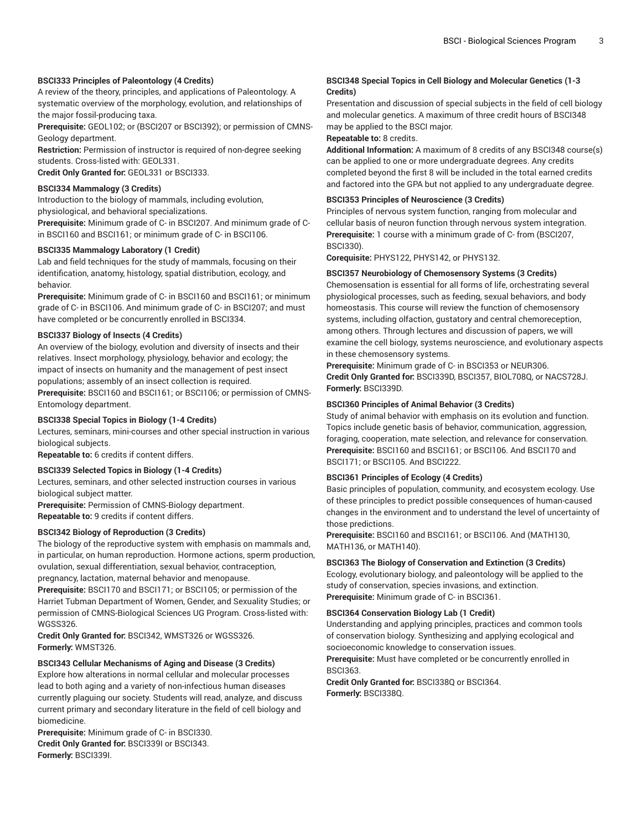#### **BSCI333 Principles of Paleontology (4 Credits)**

A review of the theory, principles, and applications of Paleontology. A systematic overview of the morphology, evolution, and relationships of the major fossil-producing taxa.

**Prerequisite:** GEOL102; or (BSCI207 or BSCI392); or permission of CMNS-Geology department.

**Restriction:** Permission of instructor is required of non-degree seeking students. Cross-listed with: GEOL331.

**Credit Only Granted for:** GEOL331 or BSCI333.

# **BSCI334 Mammalogy (3 Credits)**

Introduction to the biology of mammals, including evolution,

physiological, and behavioral specializations.

**Prerequisite:** Minimum grade of C- in BSCI207. And minimum grade of Cin BSCI160 and BSCI161; or minimum grade of C- in BSCI106.

#### **BSCI335 Mammalogy Laboratory (1 Credit)**

Lab and field techniques for the study of mammals, focusing on their identification, anatomy, histology, spatial distribution, ecology, and behavior.

**Prerequisite:** Minimum grade of C- in BSCI160 and BSCI161; or minimum grade of C- in BSCI106. And minimum grade of C- in BSCI207; and must have completed or be concurrently enrolled in BSCI334.

# **BSCI337 Biology of Insects (4 Credits)**

An overview of the biology, evolution and diversity of insects and their relatives. Insect morphology, physiology, behavior and ecology; the impact of insects on humanity and the management of pest insect populations; assembly of an insect collection is required.

**Prerequisite:** BSCI160 and BSCI161; or BSCI106; or permission of CMNS-Entomology department.

#### **BSCI338 Special Topics in Biology (1-4 Credits)**

Lectures, seminars, mini-courses and other special instruction in various biological subjects.

**Repeatable to:** 6 credits if content differs.

#### **BSCI339 Selected Topics in Biology (1-4 Credits)**

Lectures, seminars, and other selected instruction courses in various biological subject matter.

**Prerequisite:** Permission of CMNS-Biology department. **Repeatable to:** 9 credits if content differs.

#### **BSCI342 Biology of Reproduction (3 Credits)**

The biology of the reproductive system with emphasis on mammals and, in particular, on human reproduction. Hormone actions, sperm production, ovulation, sexual differentiation, sexual behavior, contraception, pregnancy, lactation, maternal behavior and menopause.

**Prerequisite:** BSCI170 and BSCI171; or BSCI105; or permission of the Harriet Tubman Department of Women, Gender, and Sexuality Studies; or permission of CMNS-Biological Sciences UG Program. Cross-listed with: WGSS326.

**Credit Only Granted for:** BSCI342, WMST326 or WGSS326. **Formerly:** WMST326.

### **BSCI343 Cellular Mechanisms of Aging and Disease (3 Credits)**

Explore how alterations in normal cellular and molecular processes lead to both aging and a variety of non-infectious human diseases currently plaguing our society. Students will read, analyze, and discuss current primary and secondary literature in the field of cell biology and biomedicine.

**Prerequisite:** Minimum grade of C- in BSCI330. **Credit Only Granted for:** BSCI339I or BSCI343. **Formerly:** BSCI339I.

# **BSCI348 Special Topics in Cell Biology and Molecular Genetics (1-3 Credits)**

Presentation and discussion of special subjects in the field of cell biology and molecular genetics. A maximum of three credit hours of BSCI348 may be applied to the BSCI major.

#### **Repeatable to:** 8 credits.

**Additional Information:** A maximum of 8 credits of any BSCI348 course(s) can be applied to one or more undergraduate degrees. Any credits completed beyond the first 8 will be included in the total earned credits and factored into the GPA but not applied to any undergraduate degree.

#### **BSCI353 Principles of Neuroscience (3 Credits)**

Principles of nervous system function, ranging from molecular and cellular basis of neuron function through nervous system integration. **Prerequisite:** 1 course with a minimum grade of C- from (BSCI207, BSCI330).

**Corequisite:** PHYS122, PHYS142, or PHYS132.

#### **BSCI357 Neurobiology of Chemosensory Systems (3 Credits)**

Chemosensation is essential for all forms of life, orchestrating several physiological processes, such as feeding, sexual behaviors, and body homeostasis. This course will review the function of chemosensory systems, including olfaction, gustatory and central chemoreception, among others. Through lectures and discussion of papers, we will examine the cell biology, systems neuroscience, and evolutionary aspects in these chemosensory systems.

**Prerequisite:** Minimum grade of C- in BSCI353 or NEUR306. **Credit Only Granted for:** BSCI339D, BSCI357, BIOL708Q, or NACS728J. **Formerly:** BSCI339D.

#### **BSCI360 Principles of Animal Behavior (3 Credits)**

Study of animal behavior with emphasis on its evolution and function. Topics include genetic basis of behavior, communication, aggression, foraging, cooperation, mate selection, and relevance for conservation. **Prerequisite:** BSCI160 and BSCI161; or BSCI106. And BSCI170 and BSCI171; or BSCI105. And BSCI222.

#### **BSCI361 Principles of Ecology (4 Credits)**

Basic principles of population, community, and ecosystem ecology. Use of these principles to predict possible consequences of human-caused changes in the environment and to understand the level of uncertainty of those predictions.

**Prerequisite:** BSCI160 and BSCI161; or BSCI106. And (MATH130, MATH136, or MATH140).

#### **BSCI363 The Biology of Conservation and Extinction (3 Credits)**

Ecology, evolutionary biology, and paleontology will be applied to the study of conservation, species invasions, and extinction. **Prerequisite:** Minimum grade of C- in BSCI361.

#### **BSCI364 Conservation Biology Lab (1 Credit)**

Understanding and applying principles, practices and common tools of conservation biology. Synthesizing and applying ecological and socioeconomic knowledge to conservation issues.

**Prerequisite:** Must have completed or be concurrently enrolled in BSCI363.

**Credit Only Granted for:** BSCI338Q or BSCI364. **Formerly:** BSCI338Q.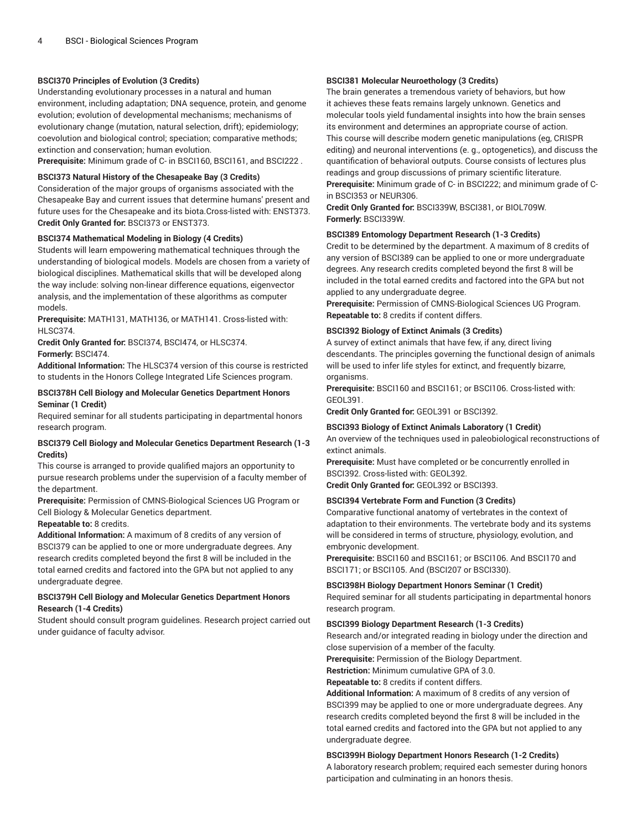### **BSCI370 Principles of Evolution (3 Credits)**

Understanding evolutionary processes in a natural and human environment, including adaptation; DNA sequence, protein, and genome evolution; evolution of developmental mechanisms; mechanisms of evolutionary change (mutation, natural selection, drift); epidemiology; coevolution and biological control; speciation; comparative methods; extinction and conservation; human evolution.

**Prerequisite:** Minimum grade of C- in BSCI160, BSCI161, and BSCI222 .

#### **BSCI373 Natural History of the Chesapeake Bay (3 Credits)**

Consideration of the major groups of organisms associated with the Chesapeake Bay and current issues that determine humans' present and future uses for the Chesapeake and its biota.Cross-listed with: ENST373. **Credit Only Granted for:** BSCI373 or ENST373.

#### **BSCI374 Mathematical Modeling in Biology (4 Credits)**

Students will learn empowering mathematical techniques through the understanding of biological models. Models are chosen from a variety of biological disciplines. Mathematical skills that will be developed along the way include: solving non-linear difference equations, eigenvector analysis, and the implementation of these algorithms as computer models.

**Prerequisite:** MATH131, MATH136, or MATH141. Cross-listed with: HLSC374.

**Credit Only Granted for:** BSCI374, BSCI474, or HLSC374. **Formerly:** BSCI474.

**Additional Information:** The HLSC374 version of this course is restricted to students in the Honors College Integrated Life Sciences program.

#### **BSCI378H Cell Biology and Molecular Genetics Department Honors Seminar (1 Credit)**

Required seminar for all students participating in departmental honors research program.

#### **BSCI379 Cell Biology and Molecular Genetics Department Research (1-3 Credits)**

This course is arranged to provide qualified majors an opportunity to pursue research problems under the supervision of a faculty member of the department.

**Prerequisite:** Permission of CMNS-Biological Sciences UG Program or Cell Biology & Molecular Genetics department.

# **Repeatable to:** 8 credits.

**Additional Information:** A maximum of 8 credits of any version of BSCI379 can be applied to one or more undergraduate degrees. Any research credits completed beyond the first 8 will be included in the total earned credits and factored into the GPA but not applied to any undergraduate degree.

#### **BSCI379H Cell Biology and Molecular Genetics Department Honors Research (1-4 Credits)**

Student should consult program guidelines. Research project carried out under guidance of faculty advisor.

### **BSCI381 Molecular Neuroethology (3 Credits)**

The brain generates a tremendous variety of behaviors, but how it achieves these feats remains largely unknown. Genetics and molecular tools yield fundamental insights into how the brain senses its environment and determines an appropriate course of action. This course will describe modern genetic manipulations (eg, CRISPR editing) and neuronal interventions (e. g., optogenetics), and discuss the quantification of behavioral outputs. Course consists of lectures plus readings and group discussions of primary scientific literature. **Prerequisite:** Minimum grade of C- in BSCI222; and minimum grade of Cin BSCI353 or NEUR306.

**Credit Only Granted for:** BSCI339W, BSCI381, or BIOL709W. **Formerly:** BSCI339W.

#### **BSCI389 Entomology Department Research (1-3 Credits)**

Credit to be determined by the department. A maximum of 8 credits of any version of BSCI389 can be applied to one or more undergraduate degrees. Any research credits completed beyond the first 8 will be included in the total earned credits and factored into the GPA but not applied to any undergraduate degree.

**Prerequisite:** Permission of CMNS-Biological Sciences UG Program. **Repeatable to:** 8 credits if content differs.

#### **BSCI392 Biology of Extinct Animals (3 Credits)**

A survey of extinct animals that have few, if any, direct living descendants. The principles governing the functional design of animals will be used to infer life styles for extinct, and frequently bizarre, organisms.

**Prerequisite:** BSCI160 and BSCI161; or BSCI106. Cross-listed with: GEOL391.

**Credit Only Granted for:** GEOL391 or BSCI392.

#### **BSCI393 Biology of Extinct Animals Laboratory (1 Credit)**

An overview of the techniques used in paleobiological reconstructions of extinct animals.

**Prerequisite:** Must have completed or be concurrently enrolled in BSCI392. Cross-listed with: GEOL392. **Credit Only Granted for:** GEOL392 or BSCI393.

# **BSCI394 Vertebrate Form and Function (3 Credits)**

Comparative functional anatomy of vertebrates in the context of adaptation to their environments. The vertebrate body and its systems will be considered in terms of structure, physiology, evolution, and embryonic development.

**Prerequisite:** BSCI160 and BSCI161; or BSCI106. And BSCI170 and BSCI171; or BSCI105. And (BSCI207 or BSCI330).

#### **BSCI398H Biology Department Honors Seminar (1 Credit)**

Required seminar for all students participating in departmental honors research program.

#### **BSCI399 Biology Department Research (1-3 Credits)**

Research and/or integrated reading in biology under the direction and close supervision of a member of the faculty.

**Prerequisite:** Permission of the Biology Department.

**Restriction:** Minimum cumulative GPA of 3.0.

**Repeatable to:** 8 credits if content differs.

**Additional Information:** A maximum of 8 credits of any version of BSCI399 may be applied to one or more undergraduate degrees. Any research credits completed beyond the first 8 will be included in the total earned credits and factored into the GPA but not applied to any undergraduate degree.

**BSCI399H Biology Department Honors Research (1-2 Credits)**

A laboratory research problem; required each semester during honors participation and culminating in an honors thesis.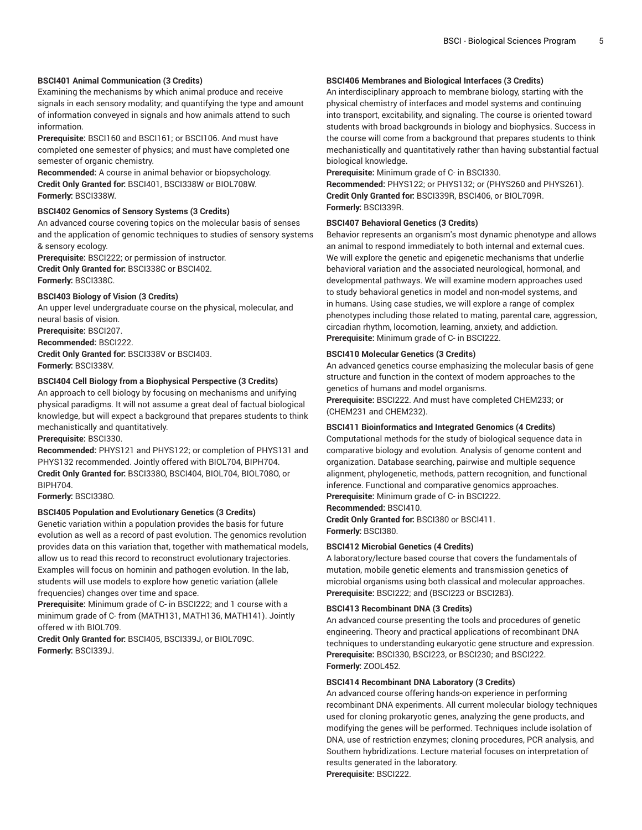# **BSCI401 Animal Communication (3 Credits)**

Examining the mechanisms by which animal produce and receive signals in each sensory modality; and quantifying the type and amount of information conveyed in signals and how animals attend to such information.

**Prerequisite:** BSCI160 and BSCI161; or BSCI106. And must have completed one semester of physics; and must have completed one semester of organic chemistry.

**Recommended:** A course in animal behavior or biopsychology. **Credit Only Granted for:** BSCI401, BSCI338W or BIOL708W. **Formerly:** BSCI338W.

#### **BSCI402 Genomics of Sensory Systems (3 Credits)**

An advanced course covering topics on the molecular basis of senses and the application of genomic techniques to studies of sensory systems & sensory ecology.

**Prerequisite:** BSCI222; or permission of instructor. **Credit Only Granted for:** BSCI338C or BSCI402. **Formerly:** BSCI338C.

#### **BSCI403 Biology of Vision (3 Credits)**

An upper level undergraduate course on the physical, molecular, and neural basis of vision.

**Prerequisite:** BSCI207. **Recommended:** BSCI222. **Credit Only Granted for:** BSCI338V or BSCI403. **Formerly:** BSCI338V.

#### **BSCI404 Cell Biology from a Biophysical Perspective (3 Credits)**

An approach to cell biology by focusing on mechanisms and unifying physical paradigms. It will not assume a great deal of factual biological knowledge, but will expect a background that prepares students to think mechanistically and quantitatively.

**Prerequisite:** BSCI330.

**Recommended:** PHYS121 and PHYS122; or completion of PHYS131 and PHYS132 recommended. Jointly offered with BIOL704, BIPH704. **Credit Only Granted for:** BSCI338O, BSCI404, BIOL704, BIOL708O, or BIPH704.

**Formerly:** BSCI338O.

#### **BSCI405 Population and Evolutionary Genetics (3 Credits)**

Genetic variation within a population provides the basis for future evolution as well as a record of past evolution. The genomics revolution provides data on this variation that, together with mathematical models, allow us to read this record to reconstruct evolutionary trajectories. Examples will focus on hominin and pathogen evolution. In the lab, students will use models to explore how genetic variation (allele frequencies) changes over time and space.

**Prerequisite:** Minimum grade of C- in BSCI222; and 1 course with a minimum grade of C- from (MATH131, MATH136, MATH141). Jointly offered w ith BIOL709.

**Credit Only Granted for:** BSCI405, BSCI339J, or BIOL709C. **Formerly:** BSCI339J.

### **BSCI406 Membranes and Biological Interfaces (3 Credits)**

An interdisciplinary approach to membrane biology, starting with the physical chemistry of interfaces and model systems and continuing into transport, excitability, and signaling. The course is oriented toward students with broad backgrounds in biology and biophysics. Success in the course will come from a background that prepares students to think mechanistically and quantitatively rather than having substantial factual biological knowledge.

**Prerequisite:** Minimum grade of C- in BSCI330.

**Recommended:** PHYS122; or PHYS132; or (PHYS260 and PHYS261). **Credit Only Granted for:** BSCI339R, BSCI406, or BIOL709R. **Formerly:** BSCI339R.

#### **BSCI407 Behavioral Genetics (3 Credits)**

Behavior represents an organism's most dynamic phenotype and allows an animal to respond immediately to both internal and external cues. We will explore the genetic and epigenetic mechanisms that underlie behavioral variation and the associated neurological, hormonal, and developmental pathways. We will examine modern approaches used to study behavioral genetics in model and non-model systems, and in humans. Using case studies, we will explore a range of complex phenotypes including those related to mating, parental care, aggression, circadian rhythm, locomotion, learning, anxiety, and addiction. **Prerequisite:** Minimum grade of C- in BSCI222.

#### **BSCI410 Molecular Genetics (3 Credits)**

An advanced genetics course emphasizing the molecular basis of gene structure and function in the context of modern approaches to the genetics of humans and model organisms.

**Prerequisite:** BSCI222. And must have completed CHEM233; or (CHEM231 and CHEM232).

#### **BSCI411 Bioinformatics and Integrated Genomics (4 Credits)**

Computational methods for the study of biological sequence data in comparative biology and evolution. Analysis of genome content and organization. Database searching, pairwise and multiple sequence alignment, phylogenetic, methods, pattern recognition, and functional inference. Functional and comparative genomics approaches. **Prerequisite:** Minimum grade of C- in BSCI222.

**Recommended:** BSCI410.

**Credit Only Granted for:** BSCI380 or BSCI411. **Formerly:** BSCI380.

#### **BSCI412 Microbial Genetics (4 Credits)**

A laboratory/lecture based course that covers the fundamentals of mutation, mobile genetic elements and transmission genetics of microbial organisms using both classical and molecular approaches. **Prerequisite:** BSCI222; and (BSCI223 or BSCI283).

#### **BSCI413 Recombinant DNA (3 Credits)**

An advanced course presenting the tools and procedures of genetic engineering. Theory and practical applications of recombinant DNA techniques to understanding eukaryotic gene structure and expression. **Prerequisite:** BSCI330, BSCI223, or BSCI230; and BSCI222. **Formerly:** ZOOL452.

#### **BSCI414 Recombinant DNA Laboratory (3 Credits)**

An advanced course offering hands-on experience in performing recombinant DNA experiments. All current molecular biology techniques used for cloning prokaryotic genes, analyzing the gene products, and modifying the genes will be performed. Techniques include isolation of DNA, use of restriction enzymes; cloning procedures, PCR analysis, and Southern hybridizations. Lecture material focuses on interpretation of results generated in the laboratory. **Prerequisite:** BSCI222.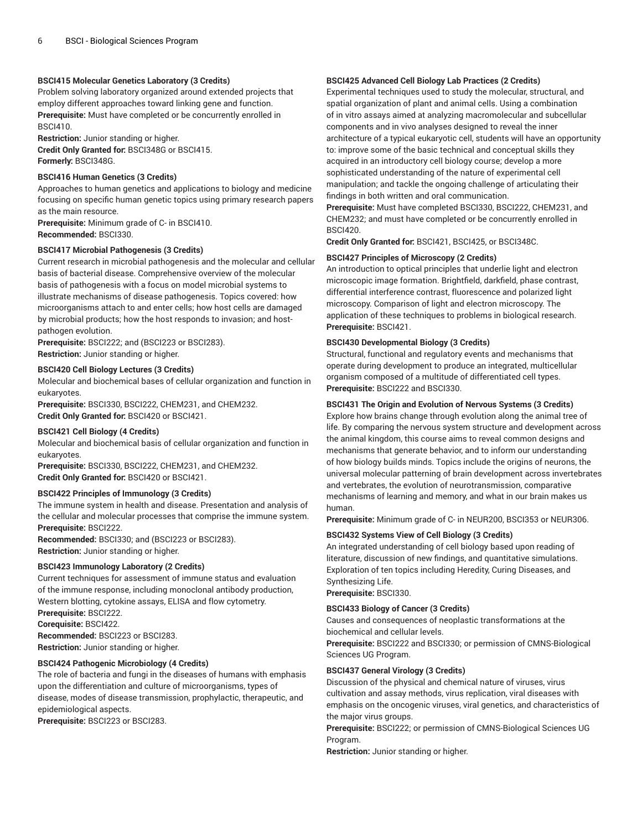# **BSCI415 Molecular Genetics Laboratory (3 Credits)**

Problem solving laboratory organized around extended projects that employ different approaches toward linking gene and function. **Prerequisite:** Must have completed or be concurrently enrolled in BSCI410.

**Restriction:** Junior standing or higher. **Credit Only Granted for:** BSCI348G or BSCI415. **Formerly:** BSCI348G.

# **BSCI416 Human Genetics (3 Credits)**

Approaches to human genetics and applications to biology and medicine focusing on specific human genetic topics using primary research papers as the main resource.

**Prerequisite:** Minimum grade of C- in BSCI410. **Recommended:** BSCI330.

#### **BSCI417 Microbial Pathogenesis (3 Credits)**

Current research in microbial pathogenesis and the molecular and cellular basis of bacterial disease. Comprehensive overview of the molecular basis of pathogenesis with a focus on model microbial systems to illustrate mechanisms of disease pathogenesis. Topics covered: how microorganisms attach to and enter cells; how host cells are damaged by microbial products; how the host responds to invasion; and hostpathogen evolution.

**Prerequisite:** BSCI222; and (BSCI223 or BSCI283). **Restriction:** Junior standing or higher.

# **BSCI420 Cell Biology Lectures (3 Credits)**

Molecular and biochemical bases of cellular organization and function in eukaryotes.

**Prerequisite:** BSCI330, BSCI222, CHEM231, and CHEM232. **Credit Only Granted for:** BSCI420 or BSCI421.

#### **BSCI421 Cell Biology (4 Credits)**

Molecular and biochemical basis of cellular organization and function in eukaryotes.

**Prerequisite:** BSCI330, BSCI222, CHEM231, and CHEM232. **Credit Only Granted for:** BSCI420 or BSCI421.

#### **BSCI422 Principles of Immunology (3 Credits)**

The immune system in health and disease. Presentation and analysis of the cellular and molecular processes that comprise the immune system. **Prerequisite:** BSCI222.

**Recommended:** BSCI330; and (BSCI223 or BSCI283). **Restriction:** Junior standing or higher.

#### **BSCI423 Immunology Laboratory (2 Credits)**

Current techniques for assessment of immune status and evaluation of the immune response, including monoclonal antibody production, Western blotting, cytokine assays, ELISA and flow cytometry.

**Prerequisite:** BSCI222.

**Corequisite:** BSCI422.

**Recommended:** BSCI223 or BSCI283. **Restriction:** Junior standing or higher.

#### **BSCI424 Pathogenic Microbiology (4 Credits)**

The role of bacteria and fungi in the diseases of humans with emphasis upon the differentiation and culture of microorganisms, types of disease, modes of disease transmission, prophylactic, therapeutic, and epidemiological aspects.

**Prerequisite:** BSCI223 or BSCI283.

# **BSCI425 Advanced Cell Biology Lab Practices (2 Credits)**

Experimental techniques used to study the molecular, structural, and spatial organization of plant and animal cells. Using a combination of in vitro assays aimed at analyzing macromolecular and subcellular components and in vivo analyses designed to reveal the inner architecture of a typical eukaryotic cell, students will have an opportunity to: improve some of the basic technical and conceptual skills they acquired in an introductory cell biology course; develop a more sophisticated understanding of the nature of experimental cell manipulation; and tackle the ongoing challenge of articulating their findings in both written and oral communication.

**Prerequisite:** Must have completed BSCI330, BSCI222, CHEM231, and CHEM232; and must have completed or be concurrently enrolled in BSCI420.

**Credit Only Granted for:** BSCI421, BSCI425, or BSCI348C.

# **BSCI427 Principles of Microscopy (2 Credits)**

An introduction to optical principles that underlie light and electron microscopic image formation. Brightfield, darkfield, phase contrast, differential interference contrast, fluorescence and polarized light microscopy. Comparison of light and electron microscopy. The application of these techniques to problems in biological research. **Prerequisite:** BSCI421.

# **BSCI430 Developmental Biology (3 Credits)**

Structural, functional and regulatory events and mechanisms that operate during development to produce an integrated, multicellular organism composed of a multitude of differentiated cell types. **Prerequisite:** BSCI222 and BSCI330.

# **BSCI431 The Origin and Evolution of Nervous Systems (3 Credits)**

Explore how brains change through evolution along the animal tree of life. By comparing the nervous system structure and development across the animal kingdom, this course aims to reveal common designs and mechanisms that generate behavior, and to inform our understanding of how biology builds minds. Topics include the origins of neurons, the universal molecular patterning of brain development across invertebrates and vertebrates, the evolution of neurotransmission, comparative mechanisms of learning and memory, and what in our brain makes us human.

**Prerequisite:** Minimum grade of C- in NEUR200, BSCI353 or NEUR306.

#### **BSCI432 Systems View of Cell Biology (3 Credits)**

An integrated understanding of cell biology based upon reading of literature, discussion of new findings, and quantitative simulations. Exploration of ten topics including Heredity, Curing Diseases, and Synthesizing Life.

**Prerequisite:** BSCI330.

#### **BSCI433 Biology of Cancer (3 Credits)**

Causes and consequences of neoplastic transformations at the biochemical and cellular levels.

**Prerequisite:** BSCI222 and BSCI330; or permission of CMNS-Biological Sciences UG Program.

#### **BSCI437 General Virology (3 Credits)**

Discussion of the physical and chemical nature of viruses, virus cultivation and assay methods, virus replication, viral diseases with emphasis on the oncogenic viruses, viral genetics, and characteristics of the major virus groups.

**Prerequisite:** BSCI222; or permission of CMNS-Biological Sciences UG Program.

**Restriction:** Junior standing or higher.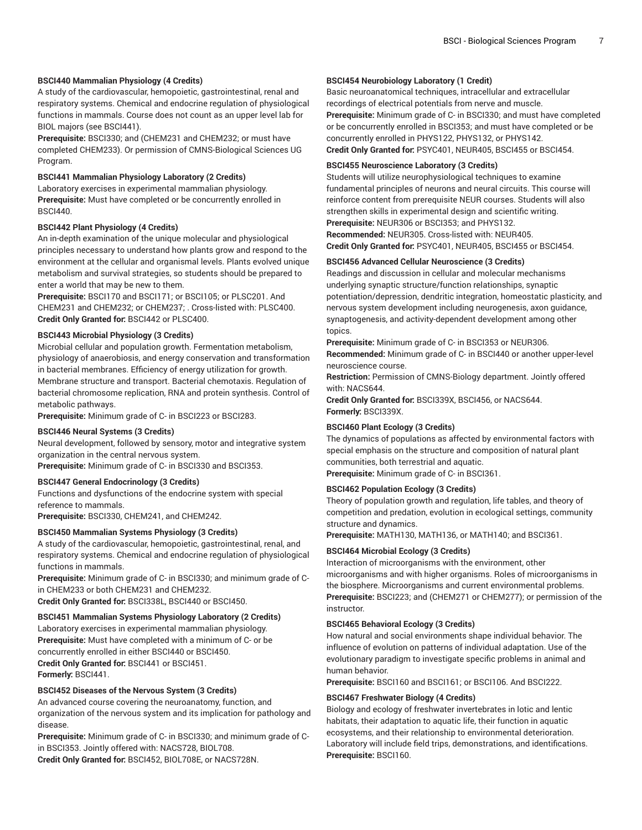#### **BSCI440 Mammalian Physiology (4 Credits)**

A study of the cardiovascular, hemopoietic, gastrointestinal, renal and respiratory systems. Chemical and endocrine regulation of physiological functions in mammals. Course does not count as an upper level lab for BIOL majors (see BSCI441).

**Prerequisite:** BSCI330; and (CHEM231 and CHEM232; or must have completed CHEM233). Or permission of CMNS-Biological Sciences UG Program.

#### **BSCI441 Mammalian Physiology Laboratory (2 Credits)**

Laboratory exercises in experimental mammalian physiology. **Prerequisite:** Must have completed or be concurrently enrolled in BSCI440.

#### **BSCI442 Plant Physiology (4 Credits)**

An in-depth examination of the unique molecular and physiological principles necessary to understand how plants grow and respond to the environment at the cellular and organismal levels. Plants evolved unique metabolism and survival strategies, so students should be prepared to enter a world that may be new to them.

**Prerequisite:** BSCI170 and BSCI171; or BSCI105; or PLSC201. And CHEM231 and CHEM232; or CHEM237; . Cross-listed with: PLSC400. **Credit Only Granted for:** BSCI442 or PLSC400.

#### **BSCI443 Microbial Physiology (3 Credits)**

Microbial cellular and population growth. Fermentation metabolism, physiology of anaerobiosis, and energy conservation and transformation in bacterial membranes. Efficiency of energy utilization for growth. Membrane structure and transport. Bacterial chemotaxis. Regulation of bacterial chromosome replication, RNA and protein synthesis. Control of metabolic pathways.

**Prerequisite:** Minimum grade of C- in BSCI223 or BSCI283.

## **BSCI446 Neural Systems (3 Credits)**

Neural development, followed by sensory, motor and integrative system organization in the central nervous system.

**Prerequisite:** Minimum grade of C- in BSCI330 and BSCI353.

#### **BSCI447 General Endocrinology (3 Credits)**

Functions and dysfunctions of the endocrine system with special reference to mammals.

**Prerequisite:** BSCI330, CHEM241, and CHEM242.

#### **BSCI450 Mammalian Systems Physiology (3 Credits)**

A study of the cardiovascular, hemopoietic, gastrointestinal, renal, and respiratory systems. Chemical and endocrine regulation of physiological functions in mammals.

**Prerequisite:** Minimum grade of C- in BSCI330; and minimum grade of Cin CHEM233 or both CHEM231 and CHEM232. **Credit Only Granted for:** BSCI338L, BSCI440 or BSCI450.

#### **BSCI451 Mammalian Systems Physiology Laboratory (2 Credits)**

Laboratory exercises in experimental mammalian physiology. **Prerequisite:** Must have completed with a minimum of C- or be concurrently enrolled in either BSCI440 or BSCI450. **Credit Only Granted for:** BSCI441 or BSCI451. **Formerly:** BSCI441.

### **BSCI452 Diseases of the Nervous System (3 Credits)**

An advanced course covering the neuroanatomy, function, and organization of the nervous system and its implication for pathology and disease.

**Prerequisite:** Minimum grade of C- in BSCI330; and minimum grade of Cin BSCI353. Jointly offered with: NACS728, BIOL708. **Credit Only Granted for:** BSCI452, BIOL708E, or NACS728N.

# **BSCI454 Neurobiology Laboratory (1 Credit)**

Basic neuroanatomical techniques, intracellular and extracellular recordings of electrical potentials from nerve and muscle. **Prerequisite:** Minimum grade of C- in BSCI330; and must have completed or be concurrently enrolled in BSCI353; and must have completed or be concurrently enrolled in PHYS122, PHYS132, or PHYS142. **Credit Only Granted for:** PSYC401, NEUR405, BSCI455 or BSCI454.

#### **BSCI455 Neuroscience Laboratory (3 Credits)**

Students will utilize neurophysiological techniques to examine fundamental principles of neurons and neural circuits. This course will reinforce content from prerequisite NEUR courses. Students will also strengthen skills in experimental design and scientific writing. **Prerequisite:** NEUR306 or BSCI353; and PHYS132. **Recommended:** NEUR305. Cross-listed with: NEUR405. **Credit Only Granted for:** PSYC401, NEUR405, BSCI455 or BSCI454.

#### **BSCI456 Advanced Cellular Neuroscience (3 Credits)**

Readings and discussion in cellular and molecular mechanisms underlying synaptic structure/function relationships, synaptic potentiation/depression, dendritic integration, homeostatic plasticity, and nervous system development including neurogenesis, axon guidance, synaptogenesis, and activity-dependent development among other topics.

**Prerequisite:** Minimum grade of C- in BSCI353 or NEUR306. **Recommended:** Minimum grade of C- in BSCI440 or another upper-level neuroscience course.

**Restriction:** Permission of CMNS-Biology department. Jointly offered with: NACS644.

**Credit Only Granted for:** BSCI339X, BSCI456, or NACS644. **Formerly:** BSCI339X.

#### **BSCI460 Plant Ecology (3 Credits)**

The dynamics of populations as affected by environmental factors with special emphasis on the structure and composition of natural plant communities, both terrestrial and aquatic. **Prerequisite:** Minimum grade of C- in BSCI361.

#### **BSCI462 Population Ecology (3 Credits)**

Theory of population growth and regulation, life tables, and theory of competition and predation, evolution in ecological settings, community structure and dynamics.

**Prerequisite:** MATH130, MATH136, or MATH140; and BSCI361.

# **BSCI464 Microbial Ecology (3 Credits)**

Interaction of microorganisms with the environment, other microorganisms and with higher organisms. Roles of microorganisms in the biosphere. Microorganisms and current environmental problems. **Prerequisite:** BSCI223; and (CHEM271 or CHEM277); or permission of the instructor.

#### **BSCI465 Behavioral Ecology (3 Credits)**

How natural and social environments shape individual behavior. The influence of evolution on patterns of individual adaptation. Use of the evolutionary paradigm to investigate specific problems in animal and human behavior.

**Prerequisite:** BSCI160 and BSCI161; or BSCI106. And BSCI222.

#### **BSCI467 Freshwater Biology (4 Credits)**

Biology and ecology of freshwater invertebrates in lotic and lentic habitats, their adaptation to aquatic life, their function in aquatic ecosystems, and their relationship to environmental deterioration. Laboratory will include field trips, demonstrations, and identifications. **Prerequisite:** BSCI160.